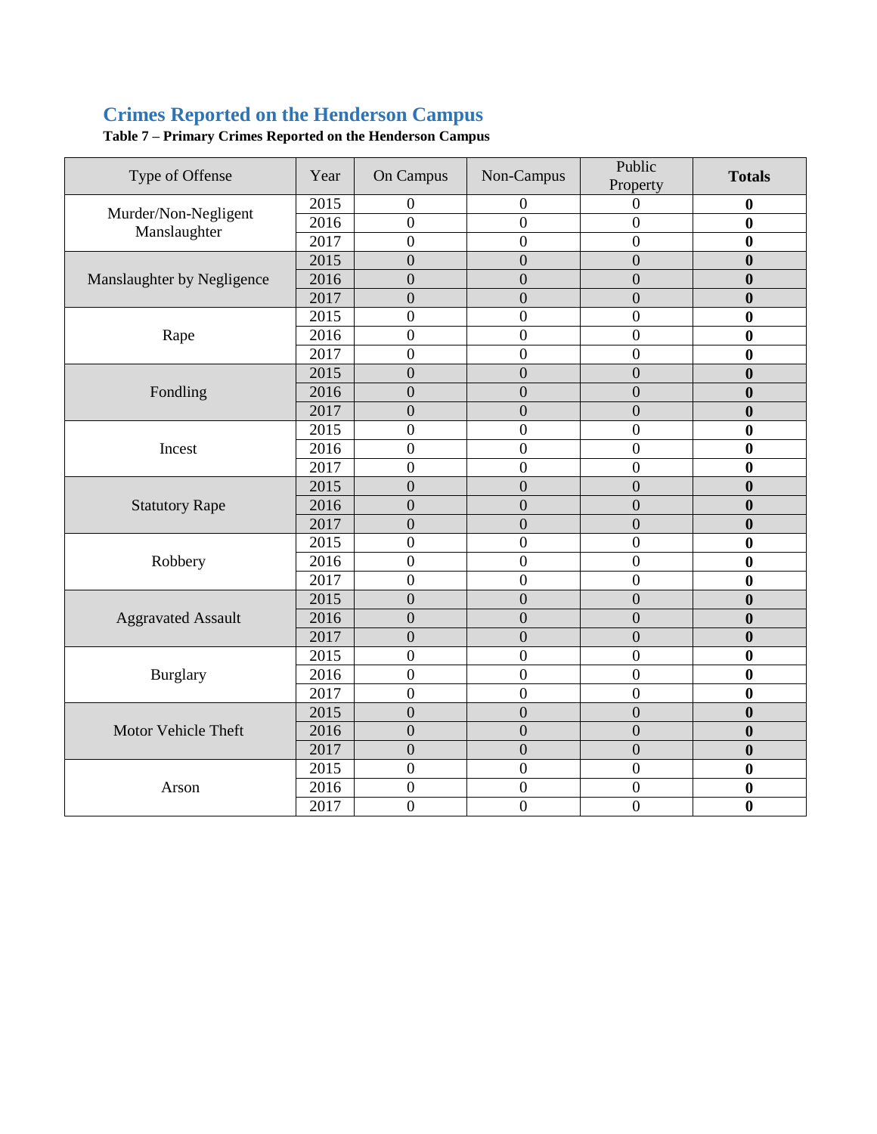## **Crimes Reported on the Henderson Campus**

| Type of Offense                      | Year | On Campus        | Non-Campus       | Public<br>Property | <b>Totals</b>    |
|--------------------------------------|------|------------------|------------------|--------------------|------------------|
| Murder/Non-Negligent<br>Manslaughter | 2015 | $\overline{0}$   | $\overline{0}$   | $\theta$           | $\bf{0}$         |
|                                      | 2016 | $\overline{0}$   | $\overline{0}$   | $\overline{0}$     | $\bf{0}$         |
|                                      | 2017 | $\overline{0}$   | $\boldsymbol{0}$ | $\overline{0}$     | $\mathbf{0}$     |
|                                      | 2015 | $\overline{0}$   | $\overline{0}$   | $\overline{0}$     | $\bf{0}$         |
| Manslaughter by Negligence           | 2016 | $\overline{0}$   | $\overline{0}$   | $\overline{0}$     | $\mathbf{0}$     |
|                                      | 2017 | $\overline{0}$   | $\overline{0}$   | $\overline{0}$     | $\mathbf{0}$     |
|                                      | 2015 | $\mathbf{0}$     | $\boldsymbol{0}$ | $\overline{0}$     | 0                |
| Rape                                 | 2016 | $\mathbf{0}$     | $\boldsymbol{0}$ | $\boldsymbol{0}$   | $\bf{0}$         |
|                                      | 2017 | $\overline{0}$   | $\boldsymbol{0}$ | $\overline{0}$     | $\mathbf{0}$     |
|                                      | 2015 | $\overline{0}$   | $\overline{0}$   | $\overline{0}$     | $\mathbf{0}$     |
| Fondling                             | 2016 | $\overline{0}$   | $\overline{0}$   | $\overline{0}$     | $\mathbf{0}$     |
|                                      | 2017 | $\overline{0}$   | $\overline{0}$   | $\overline{0}$     | $\mathbf{0}$     |
|                                      | 2015 | $\overline{0}$   | $\boldsymbol{0}$ | $\overline{0}$     | 0                |
| Incest                               | 2016 | $\overline{0}$   | $\boldsymbol{0}$ | $\boldsymbol{0}$   | 0                |
|                                      | 2017 | $\overline{0}$   | $\boldsymbol{0}$ | $\overline{0}$     | 0                |
|                                      | 2015 | $\theta$         | $\boldsymbol{0}$ | $\theta$           | $\mathbf{0}$     |
| <b>Statutory Rape</b>                | 2016 | $\overline{0}$   | $\overline{0}$   | $\overline{0}$     | $\mathbf{0}$     |
|                                      | 2017 | $\overline{0}$   | $\overline{0}$   | $\overline{0}$     | $\mathbf{0}$     |
|                                      | 2015 | $\overline{0}$   | $\boldsymbol{0}$ | $\overline{0}$     | 0                |
| Robbery                              | 2016 | $\overline{0}$   | $\boldsymbol{0}$ | $\overline{0}$     | $\mathbf{0}$     |
|                                      | 2017 | $\overline{0}$   | $\overline{0}$   | $\boldsymbol{0}$   | 0                |
|                                      | 2015 | $\overline{0}$   | $\boldsymbol{0}$ | $\overline{0}$     | $\bf{0}$         |
| <b>Aggravated Assault</b>            | 2016 | $\overline{0}$   | $\overline{0}$   | $\overline{0}$     | $\boldsymbol{0}$ |
|                                      | 2017 | $\overline{0}$   | $\boldsymbol{0}$ | $\overline{0}$     | $\boldsymbol{0}$ |
| <b>Burglary</b>                      | 2015 | $\overline{0}$   | $\overline{0}$   | $\overline{0}$     | $\bf{0}$         |
|                                      | 2016 | $\overline{0}$   | $\boldsymbol{0}$ | $\boldsymbol{0}$   | $\bf{0}$         |
|                                      | 2017 | $\overline{0}$   | $\boldsymbol{0}$ | $\overline{0}$     | $\bf{0}$         |
|                                      | 2015 | $\overline{0}$   | $\overline{0}$   | $\overline{0}$     | $\boldsymbol{0}$ |
| Motor Vehicle Theft                  | 2016 | $\overline{0}$   | $\overline{0}$   | $\overline{0}$     | $\boldsymbol{0}$ |
|                                      | 2017 | $\overline{0}$   | $\overline{0}$   | $\overline{0}$     | $\bf{0}$         |
| Arson                                | 2015 | $\overline{0}$   | $\boldsymbol{0}$ | $\mathbf{0}$       | $\mathbf{0}$     |
|                                      | 2016 | $\boldsymbol{0}$ | $\boldsymbol{0}$ | $\boldsymbol{0}$   | 0                |
|                                      | 2017 | $\mathbf{0}$     | $\overline{0}$   | $\boldsymbol{0}$   | $\bf{0}$         |

**Table 7 – Primary Crimes Reported on the Henderson Campus**